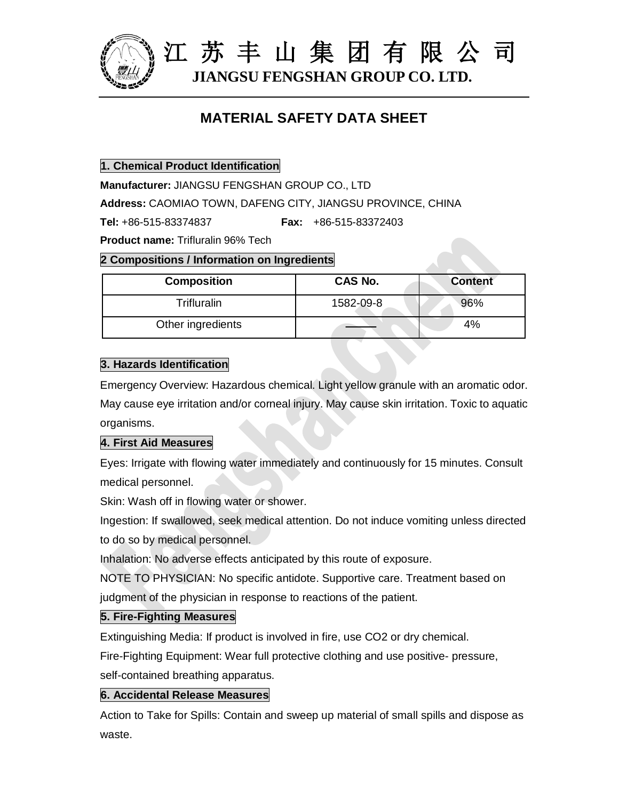

江 苏 丰 山 集 团 有 限 公 司 **JIANGSU FENGSHAN GROUP CO. LTD.**

# **MATERIAL SAFETY DATA SHEET**

**1. Chemical Product Identification**

**Manufacturer:** JIANGSU FENGSHAN GROUP CO., LTD

**Address:** CAOMIAO TOWN, DAFENG CITY, JIANGSU PROVINCE, CHINA

**Tel:** +86-515-83374837 **Fax:** +86-515-83372403

**Product name:** Trifluralin 96% Tech

#### **2 Compositions / Information on Ingredients**

| <b>Composition</b> | CAS No.   | <b>Content</b> |
|--------------------|-----------|----------------|
| <b>Trifluralin</b> | 1582-09-8 | 96%            |
| Other ingredients  |           | 4%             |

### **3. Hazards Identification**

Emergency Overview: Hazardous chemical. Light yellow granule with an aromatic odor. May cause eye irritation and/or corneal injury. May cause skin irritation. Toxic to aquatic organisms.

### **4. First Aid Measures**

Eyes: Irrigate with flowing water immediately and continuously for 15 minutes. Consult medical personnel.

Skin: Wash off in flowing water or shower.

Ingestion: If swallowed, seek medical attention. Do not induce vomiting unless directed to do so by medical personnel.

Inhalation: No adverse effects anticipated by this route of exposure.

NOTE TO PHYSICIAN: No specific antidote. Supportive care. Treatment based on

judgment of the physician in response to reactions of the patient.

### **5. Fire-Fighting Measures**

Extinguishing Media: If product is involved in fire, use CO2 or dry chemical.

Fire-Fighting Equipment: Wear full protective clothing and use positive- pressure,

self-contained breathing apparatus.

### **6. Accidental Release Measures**

Action to Take for Spills: Contain and sweep up material of small spills and dispose as waste.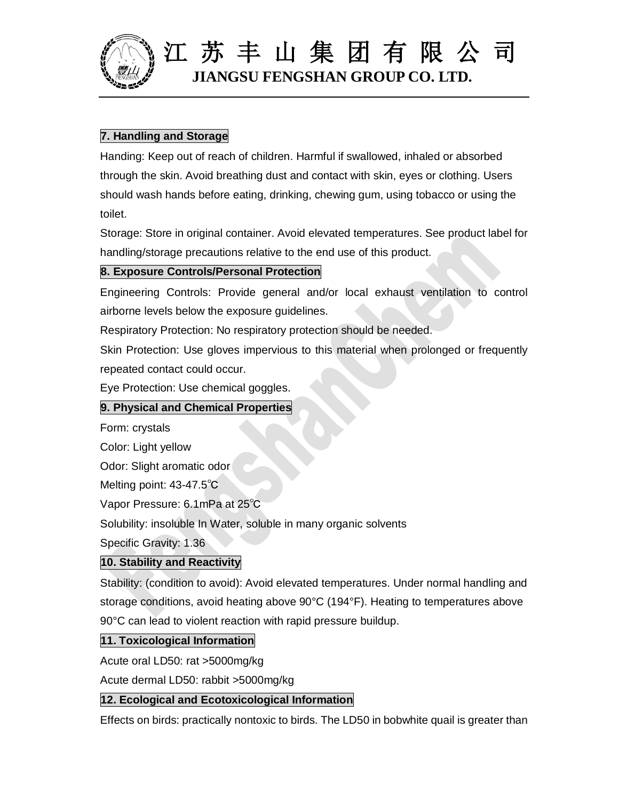

# 江 苏 丰 山 集 团 有 限 公 司 **JIANGSU FENGSHAN GROUP CO. LTD.**

# **7. Handling and Storage**

Handing: Keep out of reach of children. Harmful if swallowed, inhaled or absorbed through the skin. Avoid breathing dust and contact with skin, eyes or clothing. Users should wash hands before eating, drinking, chewing gum, using tobacco or using the toilet.

Storage: Store in original container. Avoid elevated temperatures. See product label for handling/storage precautions relative to the end use of this product.

# **8. Exposure Controls/Personal Protection**

Engineering Controls: Provide general and/or local exhaust ventilation to control airborne levels below the exposure guidelines.

Respiratory Protection: No respiratory protection should be needed.

Skin Protection: Use gloves impervious to this material when prolonged or frequently repeated contact could occur.

Eye Protection: Use chemical goggles.

# **9. Physical and Chemical Properties**

Form: crystals

Color: Light yellow

Odor: Slight aromatic odor

Melting point: 43-47.5℃

Vapor Pressure: 6.1mPa at 25℃

Solubility: insoluble In Water, soluble in many organic solvents

Specific Gravity: 1.36

# **10. Stability and Reactivity**

Stability: (condition to avoid): Avoid elevated temperatures. Under normal handling and storage conditions, avoid heating above 90°C (194°F). Heating to temperatures above 90°C can lead to violent reaction with rapid pressure buildup.

# **11. Toxicological Information**

Acute oral LD50: rat >5000mg/kg

Acute dermal LD50: rabbit >5000mg/kg

# **12. Ecological and Ecotoxicological Information**

Effects on birds: practically nontoxic to birds. The LD50 in bobwhite quail is greater than